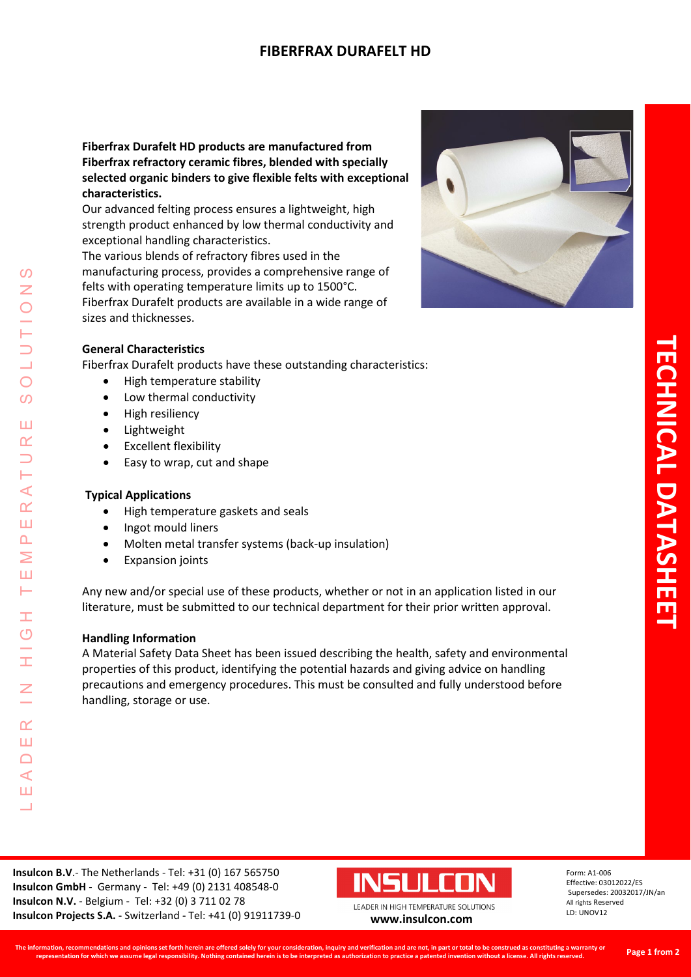# **FIBERFRAX DURAFELT HD**

**Fiberfrax Durafelt HD products are manufactured from Fiberfrax refractory ceramic fibres, blended with specially selected organic binders to give flexible felts with exceptional characteristics.** 

Our advanced felting process ensures a lightweight, high strength product enhanced by low thermal conductivity and exceptional handling characteristics.

The various blends of refractory fibres used in the manufacturing process, provides a comprehensive range of felts with operating temperature limits up to 1500°C. Fiberfrax Durafelt products are available in a wide range of sizes and thicknesses.



### **General Characteristics**

Fiberfrax Durafelt products have these outstanding characteristics:

- High temperature stability
- Low thermal conductivity
- High resiliency
- Lightweight
- Excellent flexibility
- Easy to wrap, cut and shape

### **Typical Applications**

LEADER IN HIGH TEMPERATURE SOLUTIONS

Ŧ  $\overline{O}$ 

Ī

 $\alpha$ Ш  $\Box$  $\blacktriangleleft$ Ш  $\Box$ 

 $\mathcal{O}$ Z

 $\bigcirc$  $\Omega$ 

Ш  $\alpha$  $\overline{\phantom{0}}$ H  $\prec$  $\alpha$ Ш  $\Delta$ Σ Ш Н

- High temperature gaskets and seals
- Ingot mould liners
- Molten metal transfer systems (back-up insulation)
- Expansion joints

Any new and/or special use of these products, whether or not in an application listed in our literature, must be submitted to our technical department for their prior written approval.

#### **Handling Information**

A Material Safety Data Sheet has been issued describing the health, safety and environmental properties of this product, identifying the potential hazards and giving advice on handling precautions and emergency procedures. This must be consulted and fully understood before handling, storage or use.



Form: A1-006 Effective: 03012022/ES Supersedes: 20032017/JN/an All rights Reserved LD: UNOV12